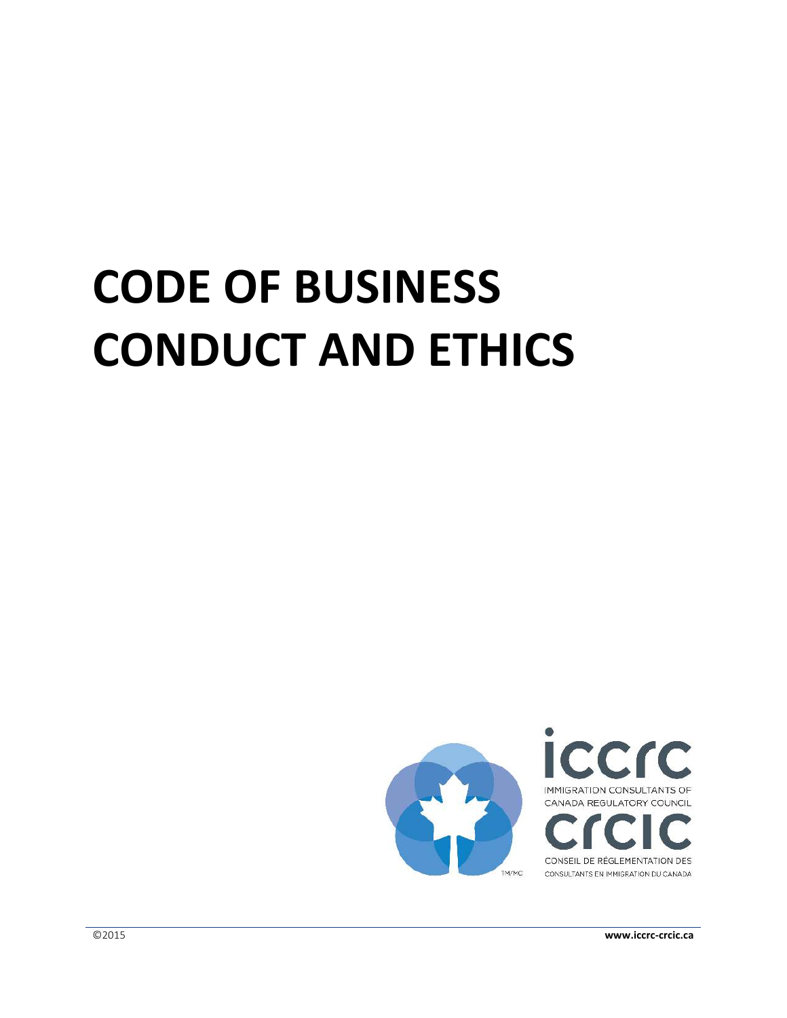# **CODE OF BUSINESS CONDUCT AND ETHICS**

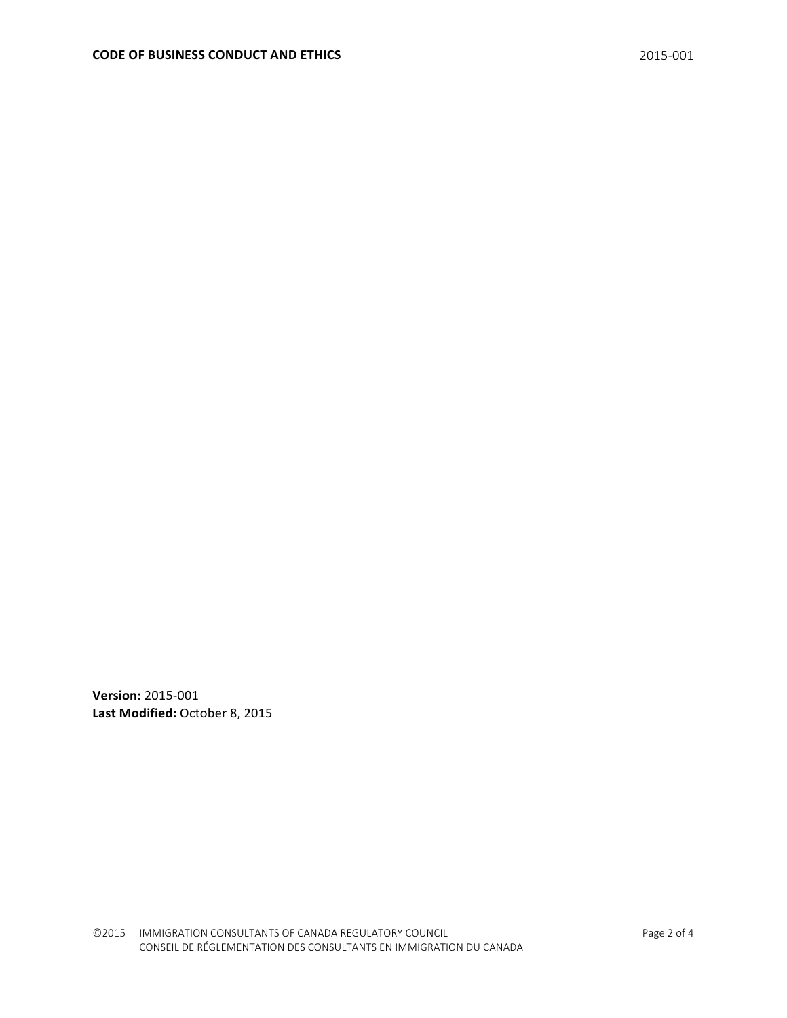**Version: 2015-001** Last Modified: October 8, 2015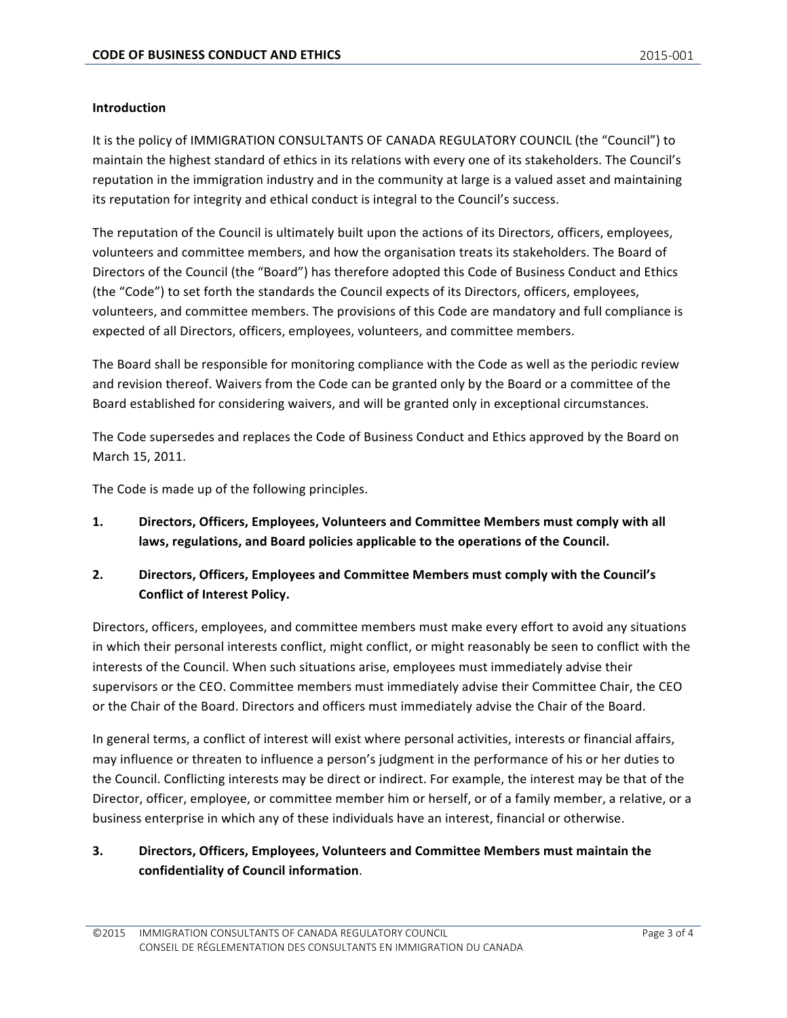#### **Introduction**

It is the policy of IMMIGRATION CONSULTANTS OF CANADA REGULATORY COUNCIL (the "Council") to maintain the highest standard of ethics in its relations with every one of its stakeholders. The Council's reputation in the immigration industry and in the community at large is a valued asset and maintaining its reputation for integrity and ethical conduct is integral to the Council's success.

The reputation of the Council is ultimately built upon the actions of its Directors, officers, employees, volunteers and committee members, and how the organisation treats its stakeholders. The Board of Directors of the Council (the "Board") has therefore adopted this Code of Business Conduct and Ethics (the "Code") to set forth the standards the Council expects of its Directors, officers, employees, volunteers, and committee members. The provisions of this Code are mandatory and full compliance is expected of all Directors, officers, employees, volunteers, and committee members.

The Board shall be responsible for monitoring compliance with the Code as well as the periodic review and revision thereof. Waivers from the Code can be granted only by the Board or a committee of the Board established for considering waivers, and will be granted only in exceptional circumstances.

The Code supersedes and replaces the Code of Business Conduct and Ethics approved by the Board on March 15, 2011.

The Code is made up of the following principles.

- 1. Directors, Officers, Employees, Volunteers and Committee Members must comply with all laws, regulations, and Board policies applicable to the operations of the Council.
- 2. Directors, Officers, Employees and Committee Members must comply with the Council's **Conflict of Interest Policy.**

Directors, officers, employees, and committee members must make every effort to avoid any situations in which their personal interests conflict, might conflict, or might reasonably be seen to conflict with the interests of the Council. When such situations arise, employees must immediately advise their supervisors or the CEO. Committee members must immediately advise their Committee Chair, the CEO or the Chair of the Board. Directors and officers must immediately advise the Chair of the Board.

In general terms, a conflict of interest will exist where personal activities, interests or financial affairs, may influence or threaten to influence a person's judgment in the performance of his or her duties to the Council. Conflicting interests may be direct or indirect. For example, the interest may be that of the Director, officer, employee, or committee member him or herself, or of a family member, a relative, or a business enterprise in which any of these individuals have an interest, financial or otherwise.

### **3.** Directors, Officers, Employees, Volunteers and Committee Members must maintain the confidentiality of Council information.